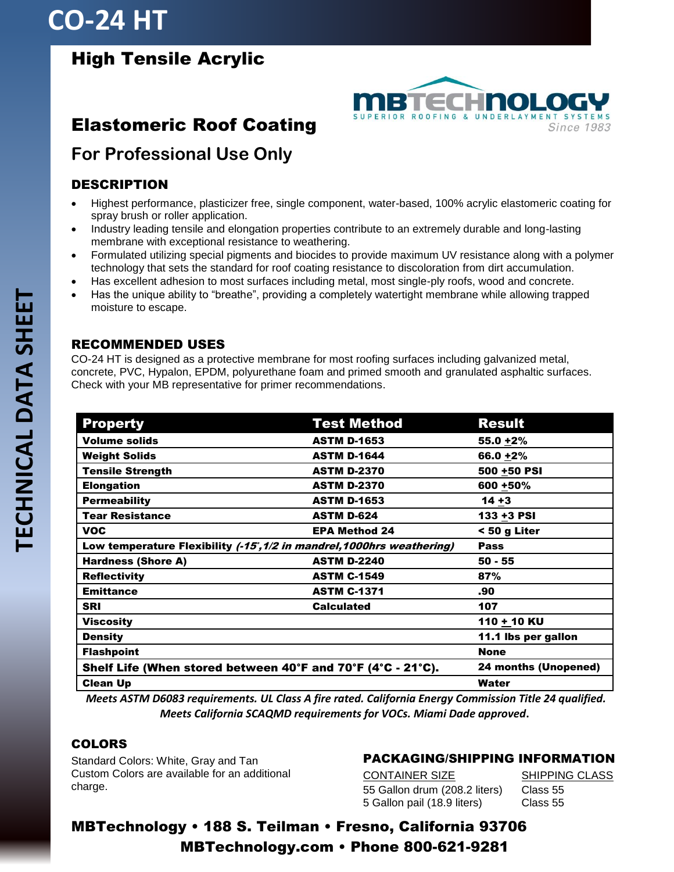## **CO-24 HT**

## High Tensile Acrylic

## Elastomeric Roof Coating



## **For Professional Use Only**

### DESCRIPTION

- Highest performance, plasticizer free, single component, water-based, 100% acrylic elastomeric coating for spray brush or roller application.
- Industry leading tensile and elongation properties contribute to an extremely durable and long-lasting membrane with exceptional resistance to weathering.
- Formulated utilizing special pigments and biocides to provide maximum UV resistance along with a polymer technology that sets the standard for roof coating resistance to discoloration from dirt accumulation.
- Has excellent adhesion to most surfaces including metal, most single-ply roofs, wood and concrete.
- Has the unique ability to "breathe", providing a completely watertight membrane while allowing trapped moisture to escape.

#### RECOMMENDED USES

CO-24 HT is designed as a protective membrane for most roofing surfaces including galvanized metal, concrete, PVC, Hypalon, EPDM, polyurethane foam and primed smooth and granulated asphaltic surfaces. Check with your MB representative for primer recommendations.

| <b>Property</b>                                                        | <b>Test Method</b>   | <b>Result</b>        |
|------------------------------------------------------------------------|----------------------|----------------------|
| <b>Volume solids</b>                                                   | <b>ASTM D-1653</b>   | $55.0 + 2%$          |
| <b>Weight Solids</b>                                                   | <b>ASTM D-1644</b>   | 66.0 +2%             |
| <b>Tensile Strength</b>                                                | <b>ASTM D-2370</b>   | 500 +50 PSI          |
| <b>Elongation</b>                                                      | <b>ASTM D-2370</b>   | 600 +50%             |
| <b>Permeability</b>                                                    | <b>ASTM D-1653</b>   | $14 + 3$             |
| <b>Tear Resistance</b>                                                 | <b>ASTM D-624</b>    | 133 +3 PSI           |
| <b>VOC</b>                                                             | <b>EPA Method 24</b> | < 50 g Liter         |
| Low temperature Flexibility (-15°, 1/2 in mandrel, 1000hrs weathering) |                      | <b>Pass</b>          |
| <b>Hardness (Shore A)</b>                                              | <b>ASTM D-2240</b>   | $50 - 55$            |
| <b>Reflectivity</b>                                                    | <b>ASTM C-1549</b>   | 87%                  |
| <b>Emittance</b>                                                       | <b>ASTM C-1371</b>   | .90                  |
| <b>SRI</b>                                                             | <b>Calculated</b>    | 107                  |
| Viscosity                                                              |                      | 110 + 10 KU          |
| <b>Density</b>                                                         |                      | 11.1 lbs per gallon  |
| <b>Flashpoint</b>                                                      |                      | <b>None</b>          |
| Shelf Life (When stored between 40°F and 70°F (4°C - 21°C).            |                      | 24 months (Unopened) |
| <b>Clean Up</b>                                                        |                      | Water                |

*Meets ASTM D6083 requirements. UL Class A fire rated. California Energy Commission Title 24 qualified. Meets California SCAQMD requirements for VOCs. Miami Dade approved***.**

#### **COLORS**

Standard Colors: White, Gray and Tan Custom Colors are available for an additional charge.

#### PACKAGING/SHIPPING INFORMATION

CONTAINER SIZE SHIPPING CLASS 55 Gallon drum (208.2 liters) Class 55 5 Gallon pail (18.9 liters) Class 55

MBTechnology • 188 S. Teilman • Fresno, California 93706 MBTechnology.com • Phone 800-621-9281